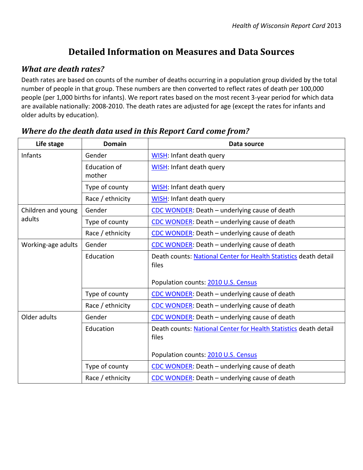# **Detailed Information on Measures and Data Sources**

#### *What are death rates?*

 $\mathsf{r}$ 

Death rates are based on counts of the number of deaths occurring in a population group divided by the total number of people in that group. These numbers are then converted to reflect rates of death per 100,000 people (per 1,000 births for infants). We report rates based on the most recent 3-year period for which data are available nationally: 2008-2010. The death rates are adjusted for age (except the rates for infants and older adults by education).

| Life stage                   | <b>Domain</b>          | Data source                                                               |  |
|------------------------------|------------------------|---------------------------------------------------------------------------|--|
| Infants                      | Gender                 | <b>WISH: Infant death query</b>                                           |  |
|                              | Education of<br>mother | <b>WISH: Infant death query</b>                                           |  |
|                              | Type of county         | WISH: Infant death query                                                  |  |
|                              | Race / ethnicity       | <b>WISH: Infant death query</b>                                           |  |
| Children and young<br>adults | Gender                 | CDC WONDER: Death - underlying cause of death                             |  |
|                              | Type of county         | CDC WONDER: Death - underlying cause of death                             |  |
|                              | Race / ethnicity       | CDC WONDER: Death - underlying cause of death                             |  |
| Working-age adults           | Gender                 | CDC WONDER: Death - underlying cause of death                             |  |
|                              | Education              | Death counts: National Center for Health Statistics death detail<br>files |  |
|                              |                        | Population counts: 2010 U.S. Census                                       |  |
|                              | Type of county         | CDC WONDER: Death – underlying cause of death                             |  |
|                              | Race / ethnicity       | CDC WONDER: Death – underlying cause of death                             |  |
| Older adults                 | Gender                 | CDC WONDER: Death – underlying cause of death                             |  |
|                              | Education              | Death counts: National Center for Health Statistics death detail<br>files |  |
|                              |                        | Population counts: 2010 U.S. Census                                       |  |
|                              | Type of county         | CDC WONDER: Death - underlying cause of death                             |  |
|                              | Race / ethnicity       | CDC WONDER: Death - underlying cause of death                             |  |

#### *Where do the death data used in this Report Card come from?*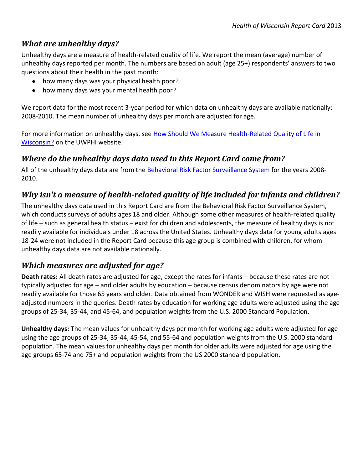### *What are unhealthy days?*

Unhealthy days are a measure of health-related quality of life. We report the mean (average) number of unhealthy days reported per month. The numbers are based on adult (age 25+) respondents' answers to two questions about their health in the past month:

- how many days was your physical health poor?
- how many days was your mental health poor?

We report data for the most recent 3-year period for which data on unhealthy days are available nationally: 2008-2010. The mean number of unhealthy days per month are adjusted for age.

For more information on unhealthy days, see How Should We Measure Health-Related Quality of Life in [Wisconsin?](http://uwphi.pophealth.wisc.edu/publications/other/briefReportv01n01.pdf) on the UWPHI website.

# *Where do the unhealthy days data used in this Report Card come from?*

All of the unhealthy days data are from the [Behavioral Risk Factor Surveillance System](http://www.cdc.gov/brfss) for the years 2008- 2010.

# *Why isn't a measure of health-related quality of life included for infants and children?*

The unhealthy days data used in this Report Card are from the Behavioral Risk Factor Surveillance System, which conducts surveys of adults ages 18 and older. Although some other measures of health-related quality of life – such as general health status – exist for children and adolescents, the measure of healthy days is not readily available for individuals under 18 across the United States. Unhealthy days data for young adults ages 18-24 were not included in the Report Card because this age group is combined with children, for whom unhealthy days data are not available nationally.

## *Which measures are adjusted for age?*

**Death rates:** All death rates are adjusted for age, except the rates for infants – because these rates are not typically adjusted for age – and older adults by education – because census denominators by age were not readily available for those 65 years and older. Data obtained from WONDER and WISH were requested as ageadjusted numbers in the queries. Death rates by education for working age adults were adjusted using the age groups of 25-34, 35-44, and 45-64, and population weights from the U.S. 2000 Standard Population.

**Unhealthy days:** The mean values for unhealthy days per month for working age adults were adjusted for age using the age groups of 25-34, 35-44, 45-54, and 55-64 and population weights from the U.S. 2000 standard population. The mean values for unhealthy days per month for older adults were adjusted for age using the age groups 65-74 and 75+ and population weights from the US 2000 standard population.